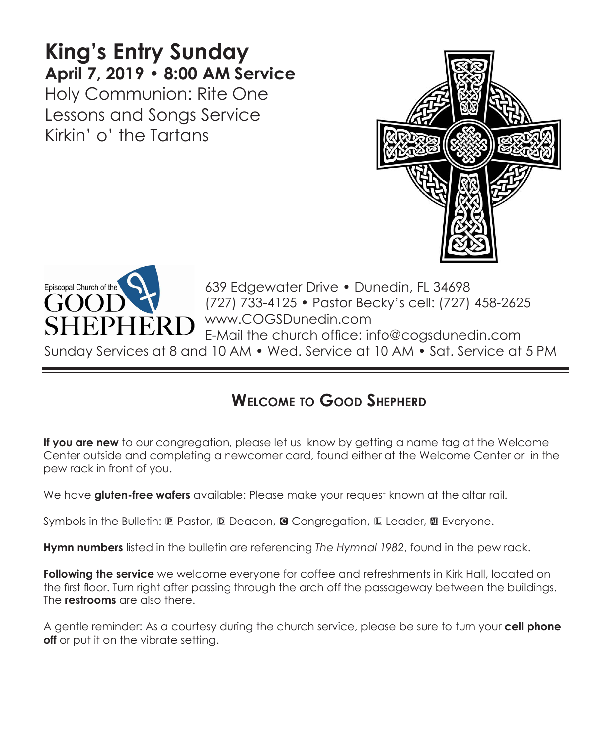# **King's Entry Sunday April 7, 2019 • 8:00 AM Service**

Holy Communion: Rite One Lessons and Songs Service Kirkin' o' the Tartans





639 Edgewater Drive • Dunedin, FL 34698 (727) 733-4125 • Pastor Becky's cell: (727) 458-2625 www.COGSDunedin.com E-Mail the church office: info@cogsdunedin.com

Sunday Services at 8 and 10 AM • Wed. Service at 10 AM • Sat. Service at 5 PM

# **Welcome to Good Shepherd**

**If you are new** to our congregation, please let us know by getting a name tag at the Welcome Center outside and completing a newcomer card, found either at the Welcome Center or in the pew rack in front of you.

We have **gluten-free wafers** available: Please make your request known at the altar rail.

Symbols in the Bulletin: P Pastor, D Deacon, **G** Congregation, L Leader, **M** Everyone.

**Hymn numbers** listed in the bulletin are referencing *The Hymnal 1982*, found in the pew rack.

**Following the service** we welcome everyone for coffee and refreshments in Kirk Hall, located on the first floor. Turn right after passing through the arch off the passageway between the buildings. The **restrooms** are also there.

A gentle reminder: As a courtesy during the church service, please be sure to turn your **cell phone off** or put it on the vibrate setting.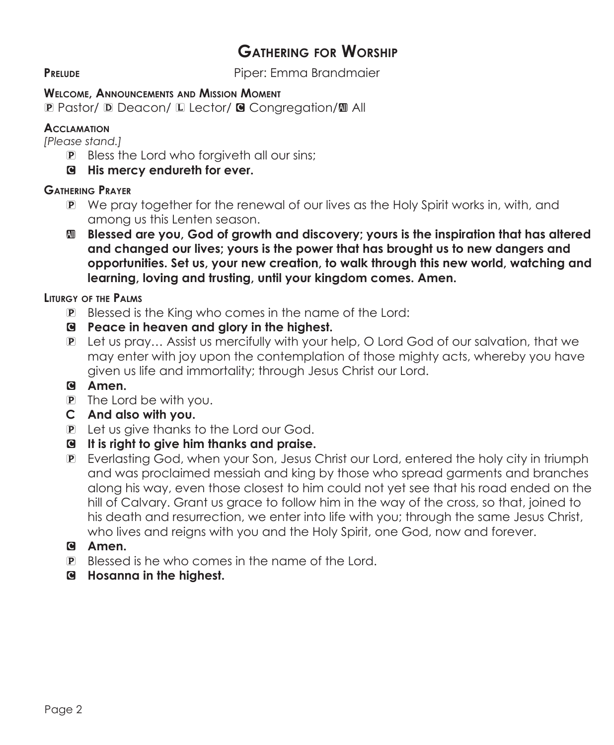# **Gathering for Worship**

**PRELUDE** PIPER: Emma Brandmaier

#### **Welcome, Announcements and Mission Moment**

P Pastor/ D Deacon/ L Lector/ G Congregation/M All

#### **Acclamation**

*[Please stand.]* 

- P Bless the Lord who forgiveth all our sins;
- C **His mercy endureth for ever.**

#### **Gathering Prayer**

- P We pray together for the renewal of our lives as the Holy Spirit works in, with, and among us this Lenten season.
- a **Blessed are you, God of growth and discovery; yours is the inspiration that has altered and changed our lives; yours is the power that has brought us to new dangers and opportunities. Set us, your new creation, to walk through this new world, watching and learning, loving and trusting, until your kingdom comes. Amen.**

#### **Liturgy of the Palms**

- P Blessed is the King who comes in the name of the Lord:
- C **Peace in heaven and glory in the highest.**
- P Let us pray… Assist us mercifully with your help, O Lord God of our salvation, that we may enter with joy upon the contemplation of those mighty acts, whereby you have given us life and immortality; through Jesus Christ our Lord.

# C **Amen.**

- P The Lord be with you.
- **C And also with you.**
- P Let us give thanks to the Lord our God.
- C **It is right to give him thanks and praise.**
- P Everlasting God, when your Son, Jesus Christ our Lord, entered the holy city in triumph and was proclaimed messiah and king by those who spread garments and branches along his way, even those closest to him could not yet see that his road ended on the hill of Calvary. Grant us grace to follow him in the way of the cross, so that, joined to his death and resurrection, we enter into life with you; through the same Jesus Christ, who lives and reigns with you and the Holy Spirit, one God, now and forever.
- C **Amen.**
- P Blessed is he who comes in the name of the Lord.
- C **Hosanna in the highest.**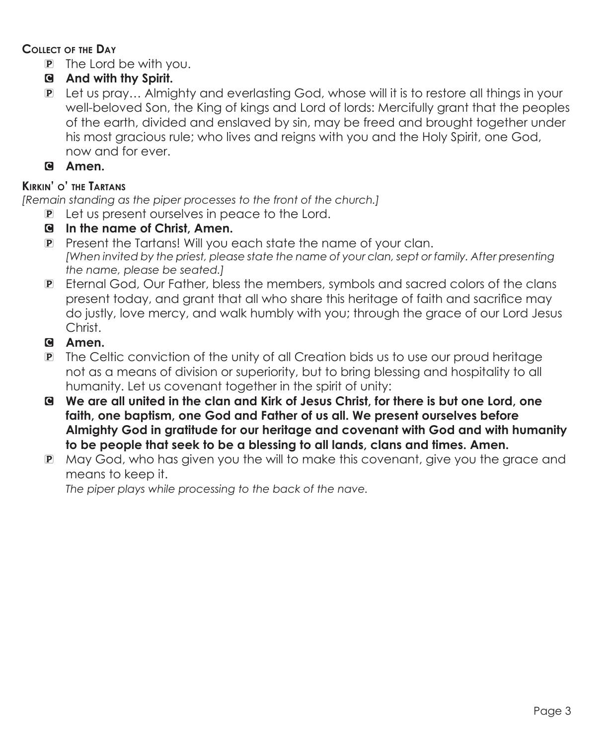#### **Collect of the Day**

- P The Lord be with you.
- C **And with thy Spirit.**
- P Let us pray… Almighty and everlasting God, whose will it is to restore all things in your well-beloved Son, the King of kings and Lord of lords: Mercifully grant that the peoples of the earth, divided and enslaved by sin, may be freed and brought together under his most gracious rule; who lives and reigns with you and the Holy Spirit, one God, now and for ever.
- C **Amen.**

#### **Kirkin' o' the Tartans**

*[Remain standing as the piper processes to the front of the church.]*

- P Let us present ourselves in peace to the Lord.
- C **In the name of Christ, Amen.**
- P Present the Tartans! Will you each state the name of your clan.  *[When invited by the priest, please state the name of your clan, sept or family. After presenting the name, please be seated.]*
- P Eternal God, Our Father, bless the members, symbols and sacred colors of the clans present today, and grant that all who share this heritage of faith and sacrifice may do justly, love mercy, and walk humbly with you; through the grace of our Lord Jesus Christ.
- C **Amen.**
- P The Celtic conviction of the unity of all Creation bids us to use our proud heritage not as a means of division or superiority, but to bring blessing and hospitality to all humanity. Let us covenant together in the spirit of unity:
- C **We are all united in the clan and Kirk of Jesus Christ, for there is but one Lord, one faith, one baptism, one God and Father of us all. We present ourselves before Almighty God in gratitude for our heritage and covenant with God and with humanity to be people that seek to be a blessing to all lands, clans and times. Amen.**
- P May God, who has given you the will to make this covenant, give you the grace and means to keep it.

 *The piper plays while processing to the back of the nave.*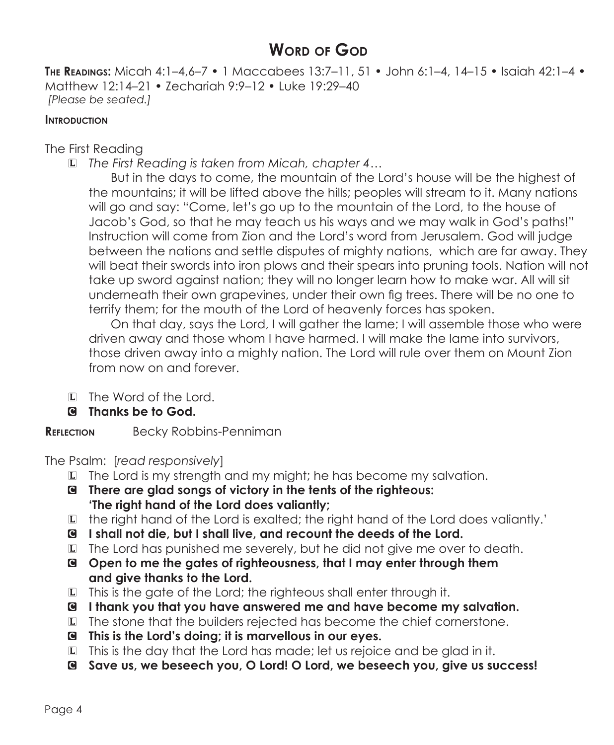# **Word of God**

**The Readings:** Micah 4:1–4,6–7 • 1 Maccabees 13:7–11, 51 • John 6:1–4, 14–15 • Isaiah 42:1–4 • Matthew 12:14–21 • Zechariah 9:9–12 • Luke 19:29–40 *[Please be seated.]*

#### **INTRODUCTION**

The First Reading

L *The First Reading is taken from Micah, chapter 4…*

 But in the days to come, the mountain of the Lord's house will be the highest of the mountains; it will be lifted above the hills; peoples will stream to it. Many nations will go and say: "Come, let's go up to the mountain of the Lord, to the house of Jacob's God, so that he may teach us his ways and we may walk in God's paths!" Instruction will come from Zion and the Lord's word from Jerusalem. God will judge between the nations and settle disputes of mighty nations, which are far away. They will beat their swords into iron plows and their spears into pruning tools. Nation will not take up sword against nation; they will no longer learn how to make war. All will sit underneath their own grapevines, under their own fig trees. There will be no one to terrify them; for the mouth of the Lord of heavenly forces has spoken.

 On that day, says the Lord, I will gather the lame; I will assemble those who were driven away and those whom I have harmed. I will make the lame into survivors, those driven away into a mighty nation. The Lord will rule over them on Mount Zion from now on and forever.

- L The Word of the Lord.
- C **Thanks be to God.**

**REFLECTION** Becky Robbins-Penniman

The Psalm: [*read responsively*]

- L The Lord is my strength and my might; he has become my salvation.
- C **There are glad songs of victory in the tents of the righteous: 'The right hand of the Lord does valiantly;**
- L the right hand of the Lord is exalted; the right hand of the Lord does valiantly.'
- C **I shall not die, but I shall live, and recount the deeds of the Lord.**
- L The Lord has punished me severely, but he did not give me over to death.
- C **Open to me the gates of righteousness, that I may enter through them and give thanks to the Lord.**
- L This is the gate of the Lord; the righteous shall enter through it.
- C **I thank you that you have answered me and have become my salvation.**
- L The stone that the builders rejected has become the chief cornerstone.
- C **This is the Lord's doing; it is marvellous in our eyes.**
- L This is the day that the Lord has made; let us rejoice and be glad in it.
- C **Save us, we beseech you, O Lord! O Lord, we beseech you, give us success!**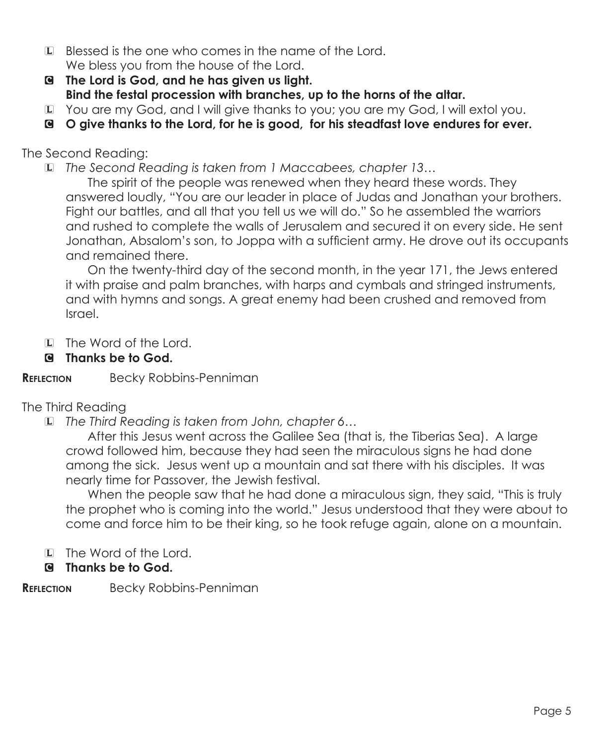- L Blessed is the one who comes in the name of the Lord. We bless you from the house of the Lord.
- C **The Lord is God, and he has given us light. Bind the festal procession with branches, up to the horns of the altar.**
- L You are my God, and I will give thanks to you; you are my God, I will extol you.
- C **O give thanks to the Lord, for he is good, for his steadfast love endures for ever.**

## The Second Reading:

L *The Second Reading is taken from 1 Maccabees, chapter 13…*

 The spirit of the people was renewed when they heard these words. They answered loudly, "You are our leader in place of Judas and Jonathan your brothers. Fight our battles, and all that you tell us we will do." So he assembled the warriors and rushed to complete the walls of Jerusalem and secured it on every side. He sent Jonathan, Absalom's son, to Joppa with a sufficient army. He drove out its occupants and remained there.

 On the twenty-third day of the second month, in the year 171, the Jews entered it with praise and palm branches, with harps and cymbals and stringed instruments, and with hymns and songs. A great enemy had been crushed and removed from Israel.

- L The Word of the Lord.
- C **Thanks be to God.**

#### **Reflection** Becky Robbins-Penniman

### The Third Reading

L *The Third Reading is taken from John, chapter 6…*

 After this Jesus went across the Galilee Sea (that is, the Tiberias Sea). A large crowd followed him, because they had seen the miraculous signs he had done among the sick. Jesus went up a mountain and sat there with his disciples. It was nearly time for Passover, the Jewish festival.

 When the people saw that he had done a miraculous sign, they said, "This is truly the prophet who is coming into the world." Jesus understood that they were about to come and force him to be their king, so he took refuge again, alone on a mountain.

L The Word of the Lord.

### C **Thanks be to God.**

#### **Reflection** Becky Robbins-Penniman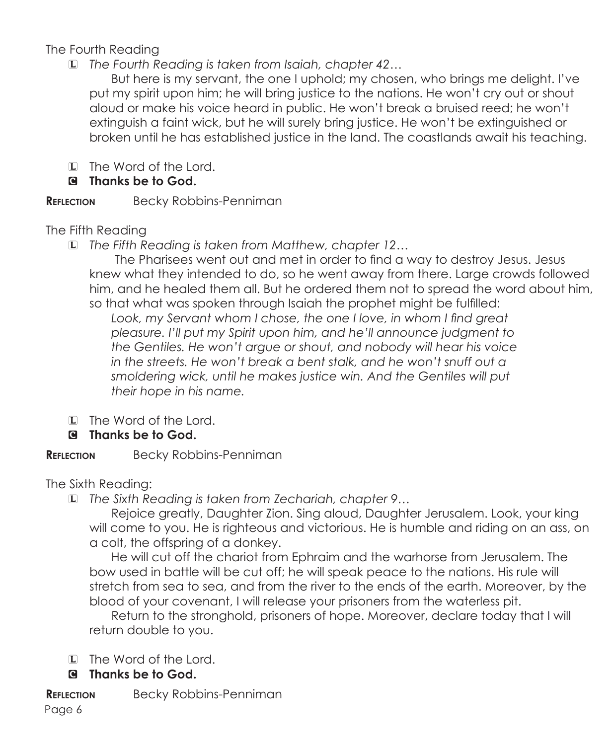# The Fourth Reading

L *The Fourth Reading is taken from Isaiah, chapter 42…*

 But here is my servant, the one I uphold; my chosen, who brings me delight. I've put my spirit upon him; he will bring justice to the nations. He won't cry out or shout aloud or make his voice heard in public. He won't break a bruised reed; he won't extinguish a faint wick, but he will surely bring justice. He won't be extinguished or broken until he has established justice in the land. The coastlands await his teaching.

- L The Word of the Lord.
- C **Thanks be to God.**

# **REFLECTION** Becky Robbins-Penniman

The Fifth Reading

L *The Fifth Reading is taken from Matthew, chapter 12…*

 The Pharisees went out and met in order to find a way to destroy Jesus. Jesus knew what they intended to do, so he went away from there. Large crowds followed him, and he healed them all. But he ordered them not to spread the word about him, so that what was spoken through Isaiah the prophet might be fulfilled:

Look, my Servant whom I chose, the one I love, in whom I find great *pleasure. I'll put my Spirit upon him, and he'll announce judgment to the Gentiles. He won't argue or shout, and nobody will hear his voice in the streets. He won't break a bent stalk, and he won't snuff out a smoldering wick, until he makes justice win. And the Gentiles will put their hope in his name.*

- L The Word of the Lord.
- C **Thanks be to God.**

**REFLECTION** Becky Robbins-Penniman

The Sixth Reading:

L *The Sixth Reading is taken from Zechariah, chapter 9…*

Rejoice greatly, Daughter Zion. Sing aloud, Daughter Jerusalem. Look, your king will come to you. He is righteous and victorious. He is humble and riding on an ass, on a colt, the offspring of a donkey.

 He will cut off the chariot from Ephraim and the warhorse from Jerusalem. The bow used in battle will be cut off; he will speak peace to the nations. His rule will stretch from sea to sea, and from the river to the ends of the earth. Moreover, by the blood of your covenant, I will release your prisoners from the waterless pit.

 Return to the stronghold, prisoners of hope. Moreover, declare today that I will return double to you.

- L The Word of the Lord.
- C **Thanks be to God.**
- **REFLECTION** Becky Robbins-Penniman

Page 6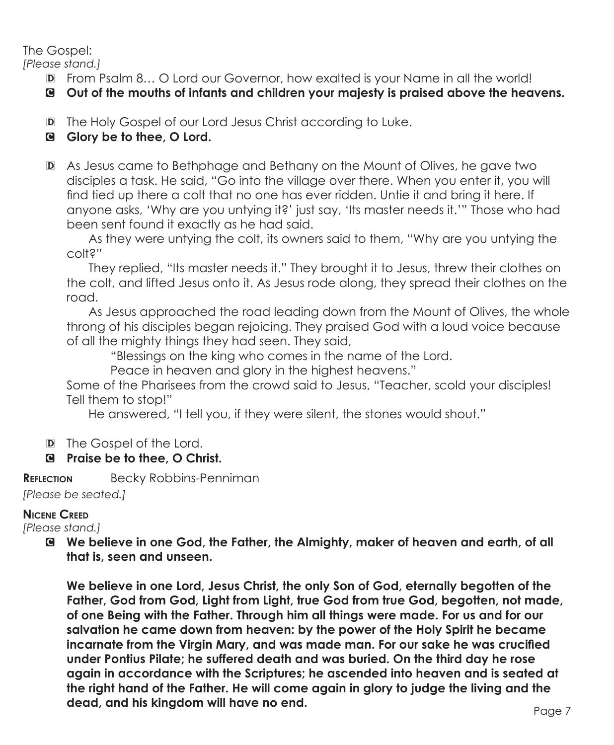The Gospel:

*[Please stand.]*

D From Psalm 8… O Lord our Governor, how exalted is your Name in all the world!

C **Out of the mouths of infants and children your majesty is praised above the heavens.** 

D The Holy Gospel of our Lord Jesus Christ according to Luke.

# C **Glory be to thee, O Lord.**

D As Jesus came to Bethphage and Bethany on the Mount of Olives, he gave two disciples a task. He said, "Go into the village over there. When you enter it, you will find tied up there a colt that no one has ever ridden. Untie it and bring it here. If anyone asks, 'Why are you untying it?' just say, 'Its master needs it.'" Those who had been sent found it exactly as he had said.

 As they were untying the colt, its owners said to them, "Why are you untying the colt?"

 They replied, "Its master needs it." They brought it to Jesus, threw their clothes on the colt, and lifted Jesus onto it. As Jesus rode along, they spread their clothes on the road.

 As Jesus approached the road leading down from the Mount of Olives, the whole throng of his disciples began rejoicing. They praised God with a loud voice because of all the mighty things they had seen. They said,

"Blessings on the king who comes in the name of the Lord.

Peace in heaven and glory in the highest heavens."

 Some of the Pharisees from the crowd said to Jesus, "Teacher, scold your disciples! Tell them to stop!"

He answered, "I tell you, if they were silent, the stones would shout."

D The Gospel of the Lord.

# C **Praise be to thee, O Christ.**

**REFLECTION** Becky Robbins-Penniman *[Please be seated.]*

### **Nicene Creed**

*[Please stand.]*

C **We believe in one God, the Father, the Almighty, maker of heaven and earth, of all that is, seen and unseen.** 

 **We believe in one Lord, Jesus Christ, the only Son of God, eternally begotten of the Father, God from God, Light from Light, true God from true God, begotten, not made, of one Being with the Father. Through him all things were made. For us and for our salvation he came down from heaven: by the power of the Holy Spirit he became incarnate from the Virgin Mary, and was made man. For our sake he was crucified under Pontius Pilate; he suffered death and was buried. On the third day he rose again in accordance with the Scriptures; he ascended into heaven and is seated at the right hand of the Father. He will come again in glory to judge the living and the dead, and his kingdom will have no end.**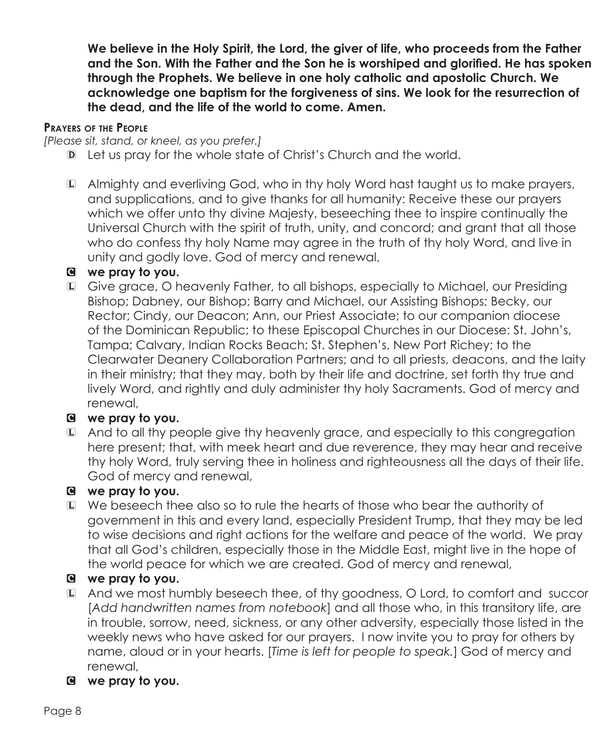**We believe in the Holy Spirit, the Lord, the giver of life, who proceeds from the Father and the Son. With the Father and the Son he is worshiped and glorified. He has spoken through the Prophets. We believe in one holy catholic and apostolic Church. We acknowledge one baptism for the forgiveness of sins. We look for the resurrection of the dead, and the life of the world to come. Amen.**

#### **Prayers of the People**

*[Please sit, stand, or kneel, as you prefer.]*

- D Let us pray for the whole state of Christ's Church and the world.
- L Almighty and everliving God, who in thy holy Word hast taught us to make prayers, and supplications, and to give thanks for all humanity: Receive these our prayers which we offer unto thy divine Majesty, beseeching thee to inspire continually the Universal Church with the spirit of truth, unity, and concord; and grant that all those who do confess thy holy Name may agree in the truth of thy holy Word, and live in unity and godly love. God of mercy and renewal,

### C **we pray to you.**

L Give grace, O heavenly Father, to all bishops, especially to Michael, our Presiding Bishop; Dabney, our Bishop; Barry and Michael, our Assisting Bishops; Becky, our Rector; Cindy, our Deacon; Ann, our Priest Associate; to our companion diocese of the Dominican Republic; to these Episcopal Churches in our Diocese: St. John's, Tampa; Calvary, Indian Rocks Beach; St. Stephen's, New Port Richey; to the Clearwater Deanery Collaboration Partners; and to all priests, deacons, and the laity in their ministry; that they may, both by their life and doctrine, set forth thy true and lively Word, and rightly and duly administer thy holy Sacraments. God of mercy and renewal,

# C **we pray to you.**

L And to all thy people give thy heavenly grace, and especially to this congregation here present; that, with meek heart and due reverence, they may hear and receive thy holy Word, truly serving thee in holiness and righteousness all the days of their life. God of mercy and renewal,

# C **we pray to you.**

L We beseech thee also so to rule the hearts of those who bear the authority of government in this and every land, especially President Trump, that they may be led to wise decisions and right actions for the welfare and peace of the world. We pray that all God's children, especially those in the Middle East, might live in the hope of the world peace for which we are created. God of mercy and renewal,

# C **we pray to you.**

- L And we most humbly beseech thee, of thy goodness, O Lord, to comfort and succor [*Add handwritten names from notebook*] and all those who, in this transitory life, are in trouble, sorrow, need, sickness, or any other adversity, especially those listed in the weekly news who have asked for our prayers. I now invite you to pray for others by name, aloud or in your hearts. [*Time is left for people to speak.*] God of mercy and renewal,
- C **we pray to you.**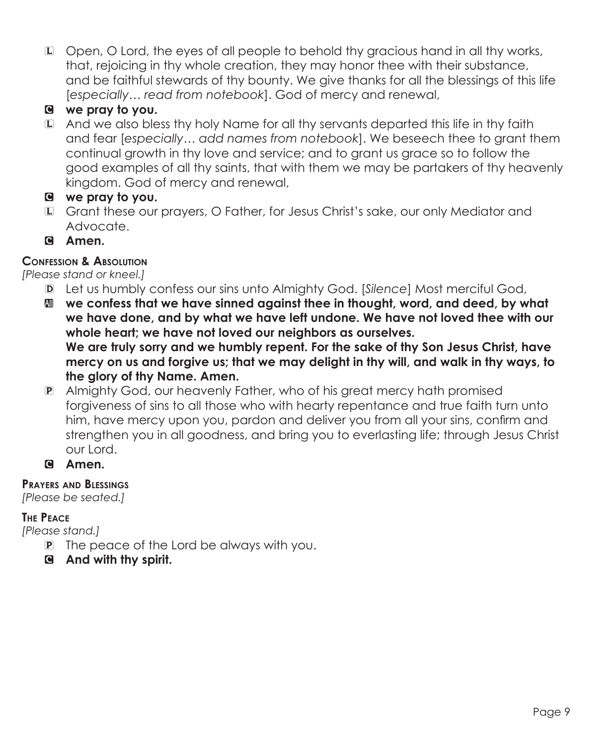L Open, O Lord, the eyes of all people to behold thy gracious hand in all thy works, that, rejoicing in thy whole creation, they may honor thee with their substance, and be faithful stewards of thy bounty. We give thanks for all the blessings of this life [*especially… read from notebook*]. God of mercy and renewal,

# C **we pray to you.**

L And we also bless thy holy Name for all thy servants departed this life in thy faith and fear [*especially… add names from notebook*]. We beseech thee to grant them continual growth in thy love and service; and to grant us grace so to follow the good examples of all thy saints, that with them we may be partakers of thy heavenly kingdom. God of mercy and renewal,

### C **we pray to you.**

- L Grant these our prayers, O Father, for Jesus Christ's sake, our only Mediator and Advocate.
- C **Amen.**

## **Confession & Absolution**

*[Please stand or kneel.]*

- D Let us humbly confess our sins unto Almighty God. [*Silence*] Most merciful God,
- a **we confess that we have sinned against thee in thought, word, and deed, by what we have done, and by what we have left undone. We have not loved thee with our whole heart; we have not loved our neighbors as ourselves. We are truly sorry and we humbly repent. For the sake of thy Son Jesus Christ, have mercy on us and forgive us; that we may delight in thy will, and walk in thy ways, to the glory of thy Name. Amen.**
- P Almighty God, our heavenly Father, who of his great mercy hath promised forgiveness of sins to all those who with hearty repentance and true faith turn unto him, have mercy upon you, pardon and deliver you from all your sins, confirm and strengthen you in all goodness, and bring you to everlasting life; through Jesus Christ our Lord.
- C **Amen.**

### **Prayers and Blessings**

*[Please be seated.]*

### **The Peace**

*[Please stand.]*

- P The peace of the Lord be always with you.
- C **And with thy spirit.**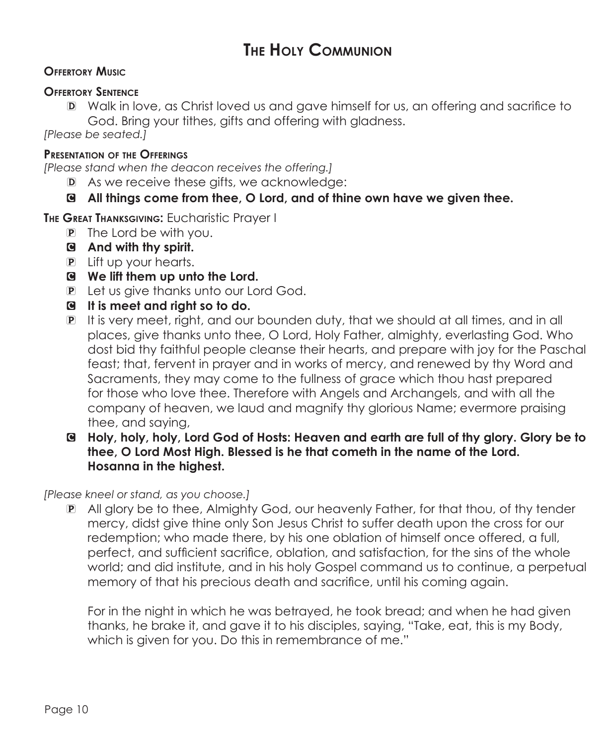# **The Holy Communion**

#### **Offertory Music**

#### **Offertory Sentence**

D Walk in love, as Christ loved us and gave himself for us, an offering and sacrifice to God. Bring your tithes, gifts and offering with gladness.

*[Please be seated.]*

#### **Presentation of the Offerings**

*[Please stand when the deacon receives the offering.]*

D As we receive these gifts, we acknowledge:

### C **All things come from thee, O Lord, and of thine own have we given thee.**

**The Great Thanksgiving:** Eucharistic Prayer I

- P The Lord be with you.
- C **And with thy spirit.**
- P Lift up your hearts.
- C **We lift them up unto the Lord.**
- P Let us give thanks unto our Lord God.
- C **It is meet and right so to do.**
- P It is very meet, right, and our bounden duty, that we should at all times, and in all places, give thanks unto thee, O Lord, Holy Father, almighty, everlasting God. Who dost bid thy faithful people cleanse their hearts, and prepare with joy for the Paschal feast; that, fervent in prayer and in works of mercy, and renewed by thy Word and Sacraments, they may come to the fullness of grace which thou hast prepared for those who love thee. Therefore with Angels and Archangels, and with all the company of heaven, we laud and magnify thy glorious Name; evermore praising thee, and saying,
- C **Holy, holy, holy, Lord God of Hosts: Heaven and earth are full of thy glory. Glory be to thee, O Lord Most High. Blessed is he that cometh in the name of the Lord. Hosanna in the highest.**

*[Please kneel or stand, as you choose.]*

P All glory be to thee, Almighty God, our heavenly Father, for that thou, of thy tender mercy, didst give thine only Son Jesus Christ to suffer death upon the cross for our redemption; who made there, by his one oblation of himself once offered, a full, perfect, and sufficient sacrifice, oblation, and satisfaction, for the sins of the whole world; and did institute, and in his holy Gospel command us to continue, a perpetual memory of that his precious death and sacrifice, until his coming again.

 For in the night in which he was betrayed, he took bread; and when he had given thanks, he brake it, and gave it to his disciples, saying, "Take, eat, this is my Body, which is given for you. Do this in remembrance of me."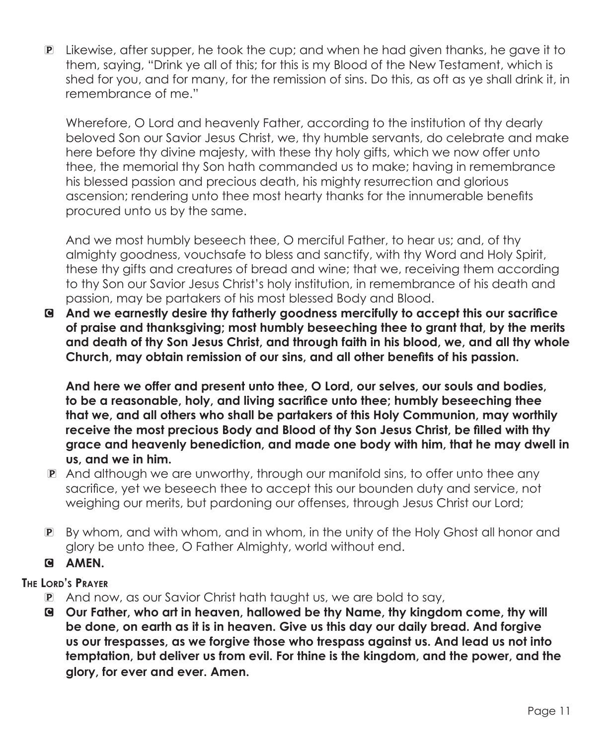P Likewise, after supper, he took the cup; and when he had given thanks, he gave it to them, saying, "Drink ye all of this; for this is my Blood of the New Testament, which is shed for you, and for many, for the remission of sins. Do this, as oft as ye shall drink it, in remembrance of me."

 Wherefore, O Lord and heavenly Father, according to the institution of thy dearly beloved Son our Savior Jesus Christ, we, thy humble servants, do celebrate and make here before thy divine majesty, with these thy holy gifts, which we now offer unto thee, the memorial thy Son hath commanded us to make; having in remembrance his blessed passion and precious death, his mighty resurrection and glorious ascension; rendering unto thee most hearty thanks for the innumerable benefits procured unto us by the same.

 And we most humbly beseech thee, O merciful Father, to hear us; and, of thy almighty goodness, vouchsafe to bless and sanctify, with thy Word and Holy Spirit, these thy gifts and creatures of bread and wine; that we, receiving them according to thy Son our Savior Jesus Christ's holy institution, in remembrance of his death and passion, may be partakers of his most blessed Body and Blood.

C **And we earnestly desire thy fatherly goodness mercifully to accept this our sacrifice of praise and thanksgiving; most humbly beseeching thee to grant that, by the merits and death of thy Son Jesus Christ, and through faith in his blood, we, and all thy whole Church, may obtain remission of our sins, and all other benefits of his passion.**

 **And here we offer and present unto thee, O Lord, our selves, our souls and bodies, to be a reasonable, holy, and living sacrifice unto thee; humbly beseeching thee that we, and all others who shall be partakers of this Holy Communion, may worthily receive the most precious Body and Blood of thy Son Jesus Christ, be filled with thy grace and heavenly benediction, and made one body with him, that he may dwell in us, and we in him.** 

- P And although we are unworthy, through our manifold sins, to offer unto thee any sacrifice, yet we beseech thee to accept this our bounden duty and service, not weighing our merits, but pardoning our offenses, through Jesus Christ our Lord;
- P By whom, and with whom, and in whom, in the unity of the Holy Ghost all honor and glory be unto thee, O Father Almighty, world without end.

# G AMEN.

### **The Lord's Prayer**

- P And now, as our Savior Christ hath taught us, we are bold to say,
- C **Our Father, who art in heaven, hallowed be thy Name, thy kingdom come, thy will be done, on earth as it is in heaven. Give us this day our daily bread. And forgive us our trespasses, as we forgive those who trespass against us. And lead us not into temptation, but deliver us from evil. For thine is the kingdom, and the power, and the glory, for ever and ever. Amen.**